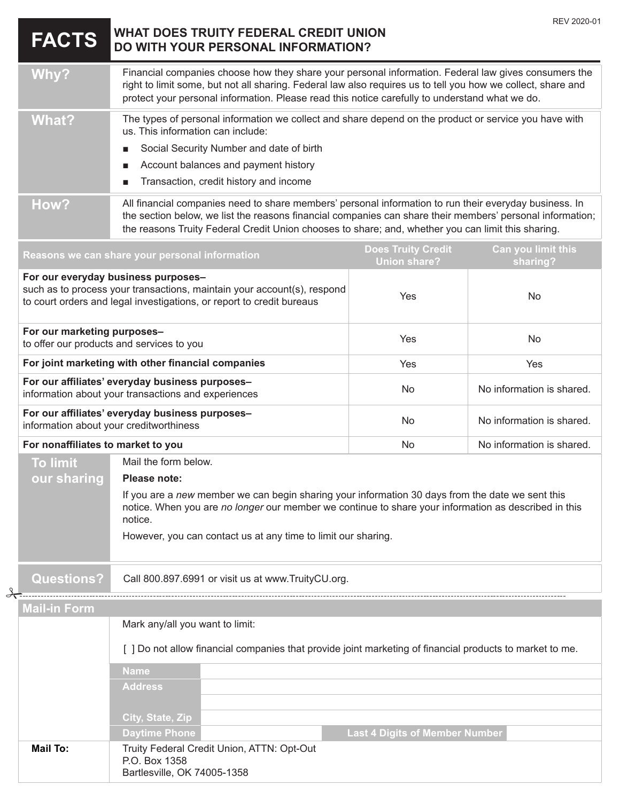|                                                                                                                         | <b>FACTS</b>                                                                                                                                                                                                                                                                                                                      | WHAT DOES TRUITY FEDERAL CREDIT UNION<br>DO WITH YOUR PERSONAL INFORMATION?                                                                                                                                                                                                                                            |                                                  | REV 2020-01                    |
|-------------------------------------------------------------------------------------------------------------------------|-----------------------------------------------------------------------------------------------------------------------------------------------------------------------------------------------------------------------------------------------------------------------------------------------------------------------------------|------------------------------------------------------------------------------------------------------------------------------------------------------------------------------------------------------------------------------------------------------------------------------------------------------------------------|--------------------------------------------------|--------------------------------|
|                                                                                                                         | <b>Why?</b>                                                                                                                                                                                                                                                                                                                       | Financial companies choose how they share your personal information. Federal law gives consumers the<br>right to limit some, but not all sharing. Federal law also requires us to tell you how we collect, share and<br>protect your personal information. Please read this notice carefully to understand what we do. |                                                  |                                |
|                                                                                                                         | <b>What?</b>                                                                                                                                                                                                                                                                                                                      | The types of personal information we collect and share depend on the product or service you have with<br>us. This information can include:<br>Social Security Number and date of birth<br>Account balances and payment history<br>п<br>Transaction, credit history and income                                          |                                                  |                                |
|                                                                                                                         | How?<br>All financial companies need to share members' personal information to run their everyday business. In<br>the section below, we list the reasons financial companies can share their members' personal information;<br>the reasons Truity Federal Credit Union chooses to share; and, whether you can limit this sharing. |                                                                                                                                                                                                                                                                                                                        |                                                  |                                |
|                                                                                                                         |                                                                                                                                                                                                                                                                                                                                   | Reasons we can share your personal information                                                                                                                                                                                                                                                                         | <b>Does Truity Credit</b><br><b>Union share?</b> | Can you limit this<br>sharing? |
|                                                                                                                         |                                                                                                                                                                                                                                                                                                                                   | For our everyday business purposes-<br>such as to process your transactions, maintain your account(s), respond<br>to court orders and legal investigations, or report to credit bureaus                                                                                                                                | Yes                                              | No                             |
|                                                                                                                         | For our marketing purposes-                                                                                                                                                                                                                                                                                                       | to offer our products and services to you                                                                                                                                                                                                                                                                              | Yes                                              | No                             |
|                                                                                                                         |                                                                                                                                                                                                                                                                                                                                   | For joint marketing with other financial companies                                                                                                                                                                                                                                                                     | Yes                                              | Yes                            |
|                                                                                                                         |                                                                                                                                                                                                                                                                                                                                   | For our affiliates' everyday business purposes-<br>information about your transactions and experiences                                                                                                                                                                                                                 | No                                               | No information is shared.      |
|                                                                                                                         |                                                                                                                                                                                                                                                                                                                                   | For our affiliates' everyday business purposes-<br>information about your creditworthiness                                                                                                                                                                                                                             | No                                               | No information is shared.      |
|                                                                                                                         | For nonaffiliates to market to you                                                                                                                                                                                                                                                                                                |                                                                                                                                                                                                                                                                                                                        | No                                               | No information is shared.      |
|                                                                                                                         | <b>To limit</b>                                                                                                                                                                                                                                                                                                                   | Mail the form below.                                                                                                                                                                                                                                                                                                   |                                                  |                                |
| Please note:<br>our sharing                                                                                             |                                                                                                                                                                                                                                                                                                                                   |                                                                                                                                                                                                                                                                                                                        |                                                  |                                |
|                                                                                                                         | If you are a new member we can begin sharing your information 30 days from the date we sent this<br>notice. When you are no longer our member we continue to share your information as described in this<br>notice.<br>However, you can contact us at any time to limit our sharing.                                              |                                                                                                                                                                                                                                                                                                                        |                                                  |                                |
|                                                                                                                         | <b>Questions?</b>                                                                                                                                                                                                                                                                                                                 | Call 800.897.6991 or visit us at www.TruityCU.org.                                                                                                                                                                                                                                                                     |                                                  |                                |
|                                                                                                                         | <u>Mail-in Form</u>                                                                                                                                                                                                                                                                                                               |                                                                                                                                                                                                                                                                                                                        |                                                  |                                |
|                                                                                                                         | Mark any/all you want to limit:                                                                                                                                                                                                                                                                                                   |                                                                                                                                                                                                                                                                                                                        |                                                  |                                |
| [ ] Do not allow financial companies that provide joint marketing of financial products to market to me.<br><b>Name</b> |                                                                                                                                                                                                                                                                                                                                   |                                                                                                                                                                                                                                                                                                                        |                                                  |                                |
|                                                                                                                         |                                                                                                                                                                                                                                                                                                                                   |                                                                                                                                                                                                                                                                                                                        |                                                  |                                |
|                                                                                                                         |                                                                                                                                                                                                                                                                                                                                   | <b>Address</b>                                                                                                                                                                                                                                                                                                         |                                                  |                                |
|                                                                                                                         |                                                                                                                                                                                                                                                                                                                                   | City, State, Zip                                                                                                                                                                                                                                                                                                       |                                                  |                                |
|                                                                                                                         |                                                                                                                                                                                                                                                                                                                                   | <b>Daytime Phone</b>                                                                                                                                                                                                                                                                                                   | <b>Last 4 Digits of Member Number</b>            |                                |
|                                                                                                                         | <b>Mail To:</b><br>Truity Federal Credit Union, ATTN: Opt-Out<br>P.O. Box 1358<br>Bartlesville, OK 74005-1358                                                                                                                                                                                                                     |                                                                                                                                                                                                                                                                                                                        |                                                  |                                |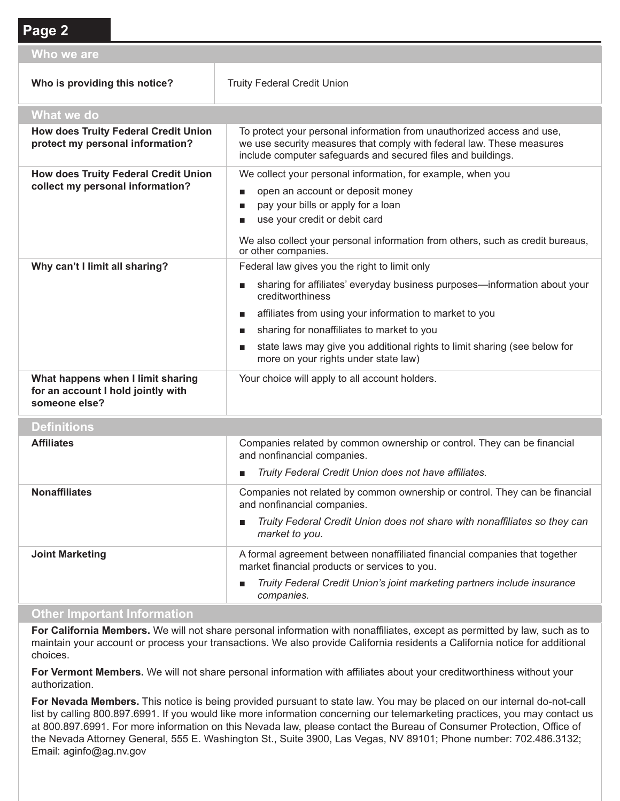## **Page 2 Who we are Who is providing this notice?** Truity Federal Credit Union **What we do How does Truity Federal Credit Union protect my personal information?** To protect your personal information from unauthorized access and use, we use security measures that comply with federal law. These measures include computer safeguards and secured files and buildings. **How does Truity Federal Credit Union collect my personal information?** We collect your personal information, for example, when you open an account or deposit money pay your bills or apply for a loan ■ use your credit or debit card We also collect your personal information from others, such as credit bureaus, or other companies. **Why can't I limit all sharing?** Federal law gives you the right to limit only ■ sharing for affiliates' everyday business purposes—information about your creditworthiness ■ affiliates from using your information to market to you sharing for nonaffiliates to market to you ■ state laws may give you additional rights to limit sharing (see below for more on your rights under state law) **What happens when I limit sharing for an account I hold jointly with someone else?** Your choice will apply to all account holders. **Definitions Affiliates** Companies related by common ownership or control. They can be financial and nonfinancial companies.

|                        | Truity Federal Credit Union does not have affiliates.<br>$\mathbf{r}$                                                       |
|------------------------|-----------------------------------------------------------------------------------------------------------------------------|
| <b>Nonaffiliates</b>   | Companies not related by common ownership or control. They can be financial<br>and nonfinancial companies.                  |
|                        | Truity Federal Credit Union does not share with nonaffiliates so they can<br>п<br>market to you.                            |
| <b>Joint Marketing</b> | A formal agreement between nonaffiliated financial companies that together<br>market financial products or services to you. |
|                        | Truity Federal Credit Union's joint marketing partners include insurance<br>п<br>companies.                                 |

#### **Other Important Information**

**For California Members.** We will not share personal information with nonaffiliates, except as permitted by law, such as to maintain your account or process your transactions. We also provide California residents a California notice for additional choices.

**For Vermont Members.** We will not share personal information with affiliates about your creditworthiness without your authorization.

**For Nevada Members.** This notice is being provided pursuant to state law. You may be placed on our internal do-not-call list by calling 800.897.6991. If you would like more information concerning our telemarketing practices, you may contact us at 800.897.6991. For more information on this Nevada law, please contact the Bureau of Consumer Protection, Office of the Nevada Attorney General, 555 E. Washington St., Suite 3900, Las Vegas, NV 89101; Phone number: 702.486.3132; Email: aginfo@ag.nv.gov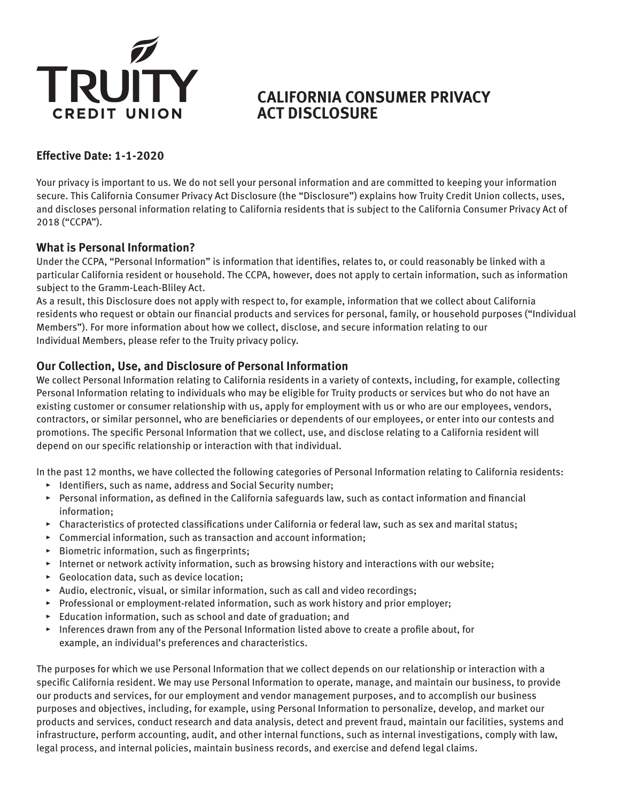

# **CALIFORNIA CONSUMER PRIVACY ACT DISCLOSURE**

## **Effective Date: 1-1-2020**

Your privacy is important to us. We do not sell your personal information and are committed to keeping your information secure. This California Consumer Privacy Act Disclosure (the "Disclosure") explains how Truity Credit Union collects, uses, and discloses personal information relating to California residents that is subject to the California Consumer Privacy Act of 2018 ("CCPA").

## **What is Personal Information?**

Under the CCPA, "Personal Information" is information that identifies, relates to, or could reasonably be linked with a particular California resident or household. The CCPA, however, does not apply to certain information, such as information subject to the Gramm-Leach-Bliley Act.

As a result, this Disclosure does not apply with respect to, for example, information that we collect about California residents who request or obtain our financial products and services for personal, family, or household purposes ("Individual Members"). For more information about how we collect, disclose, and secure information relating to our Individual Members, please refer to the Truity privacy policy.

## **Our Collection, Use, and Disclosure of Personal Information**

We collect Personal Information relating to California residents in a variety of contexts, including, for example, collecting Personal Information relating to individuals who may be eligible for Truity products or services but who do not have an existing customer or consumer relationship with us, apply for employment with us or who are our employees, vendors, contractors, or similar personnel, who are beneficiaries or dependents of our employees, or enter into our contests and promotions. The specific Personal Information that we collect, use, and disclose relating to a California resident will depend on our specific relationship or interaction with that individual.

In the past 12 months, we have collected the following categories of Personal Information relating to California residents:

- ▸ Identifiers, such as name, address and Social Security number;
- ▸ Personal information, as defined in the California safeguards law, such as contact information and financial information;
- ▸ Characteristics of protected classifications under California or federal law, such as sex and marital status;
- ▸ Commercial information, such as transaction and account information;
- ▸ Biometric information, such as fingerprints;
- ▸ Internet or network activity information, such as browsing history and interactions with our website;
- ▸ Geolocation data, such as device location;
- ▸ Audio, electronic, visual, or similar information, such as call and video recordings;
- ▸ Professional or employment-related information, such as work history and prior employer;
- ▸ Education information, such as school and date of graduation; and
- ▸ Inferences drawn from any of the Personal Information listed above to create a profile about, for example, an individual's preferences and characteristics.

The purposes for which we use Personal Information that we collect depends on our relationship or interaction with a specific California resident. We may use Personal Information to operate, manage, and maintain our business, to provide our products and services, for our employment and vendor management purposes, and to accomplish our business purposes and objectives, including, for example, using Personal Information to personalize, develop, and market our products and services, conduct research and data analysis, detect and prevent fraud, maintain our facilities, systems and infrastructure, perform accounting, audit, and other internal functions, such as internal investigations, comply with law, legal process, and internal policies, maintain business records, and exercise and defend legal claims.